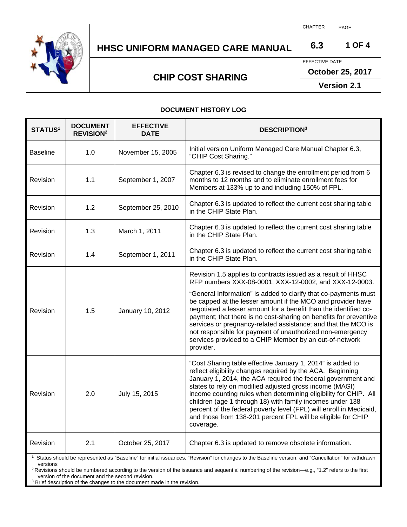

## **HHSC UNIFORM MANAGED CARE MANUAL 6.3 1 OF 4**

CHAPTER | PAGE

EFFECTIVE DATE

**October 25, 2017** 

**Version 2.1** 

### **CHIP COST SHARING**

**DOCUMENT HISTORY LOG** 

| <b>STATUS1</b>  | <b>DOCUMENT</b><br><b>REVISION<sup>2</sup></b> | <b>EFFECTIVE</b><br><b>DATE</b> | <b>DESCRIPTION</b> <sup>3</sup>                                                                                                                                                                                                                                                                                                                                                                                                                                                                                                          |
|-----------------|------------------------------------------------|---------------------------------|------------------------------------------------------------------------------------------------------------------------------------------------------------------------------------------------------------------------------------------------------------------------------------------------------------------------------------------------------------------------------------------------------------------------------------------------------------------------------------------------------------------------------------------|
| <b>Baseline</b> | 1.0                                            | November 15, 2005               | Initial version Uniform Managed Care Manual Chapter 6.3,<br>"CHIP Cost Sharing."                                                                                                                                                                                                                                                                                                                                                                                                                                                         |
| Revision        | 1.1                                            | September 1, 2007               | Chapter 6.3 is revised to change the enrollment period from 6<br>months to 12 months and to eliminate enrollment fees for<br>Members at 133% up to and including 150% of FPL.                                                                                                                                                                                                                                                                                                                                                            |
| Revision        | 1.2                                            | September 25, 2010              | Chapter 6.3 is updated to reflect the current cost sharing table<br>in the CHIP State Plan.                                                                                                                                                                                                                                                                                                                                                                                                                                              |
| Revision        | 1.3                                            | March 1, 2011                   | Chapter 6.3 is updated to reflect the current cost sharing table<br>in the CHIP State Plan.                                                                                                                                                                                                                                                                                                                                                                                                                                              |
| Revision        | 1.4                                            | September 1, 2011               | Chapter 6.3 is updated to reflect the current cost sharing table<br>in the CHIP State Plan.                                                                                                                                                                                                                                                                                                                                                                                                                                              |
| Revision        | 1.5                                            | January 10, 2012                | Revision 1.5 applies to contracts issued as a result of HHSC<br>RFP numbers XXX-08-0001, XXX-12-0002, and XXX-12-0003.<br>"General Information" is added to clarify that co-payments must                                                                                                                                                                                                                                                                                                                                                |
|                 |                                                |                                 | be capped at the lesser amount if the MCO and provider have<br>negotiated a lesser amount for a benefit than the identified co-<br>payment; that there is no cost-sharing on benefits for preventive<br>services or pregnancy-related assistance; and that the MCO is<br>not responsible for payment of unauthorized non-emergency<br>services provided to a CHIP Member by an out-of-network<br>provider.                                                                                                                               |
| Revision        | 2.0                                            | July 15, 2015                   | "Cost Sharing table effective January 1, 2014" is added to<br>reflect eligibility changes required by the ACA. Beginning<br>January 1, 2014, the ACA required the federal government and<br>states to rely on modified adjusted gross income (MAGI)<br>income counting rules when determining eligibility for CHIP. All<br>children (age 1 through 18) with family incomes under 138<br>percent of the federal poverty level (FPL) will enroll in Medicaid,<br>and those from 138-201 percent FPL will be eligible for CHIP<br>coverage. |
| Revision        | 2.1                                            | October 25, 2017                | Chapter 6.3 is updated to remove obsolete information.                                                                                                                                                                                                                                                                                                                                                                                                                                                                                   |

**1** Status should be represented as "Baseline" for initial issuances, "Revision" for changes to the Baseline version, and "Cancellation" for withdrawn versions<br><sup>2</sup> Revisions should be numbered according to the version of the issuance and sequential numbering of the revision—e.g., "1.2" refers to the first

version of the document and the second revision.

<sup>3</sup> Brief description of the changes to the document made in the revision.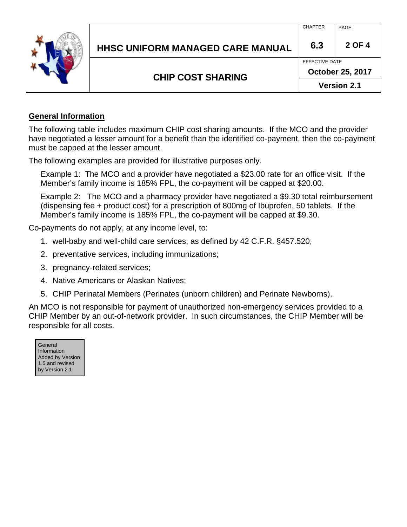

## **HHSC UNIFORM MANAGED CARE MANUAL 6.3 2 OF 4**

CHAPTER | PAGE

### **CHIP COST SHARING**

**October 25, 2017** 

EFFECTIVE DATE

**Version 2.1** 

#### **General Information**

The following table includes maximum CHIP cost sharing amounts. If the MCO and the provider have negotiated a lesser amount for a benefit than the identified co-payment, then the co-payment must be capped at the lesser amount.

The following examples are provided for illustrative purposes only.

Example 1: The MCO and a provider have negotiated a \$23.00 rate for an office visit. If the Member's family income is 185% FPL, the co-payment will be capped at \$20.00.

Example 2: The MCO and a pharmacy provider have negotiated a \$9.30 total reimbursement (dispensing fee + product cost) for a prescription of 800mg of Ibuprofen, 50 tablets. If the Member's family income is 185% FPL, the co-payment will be capped at \$9.30.

Co-payments do not apply, at any income level, to:

- 1. well-baby and well-child care services, as defined by 42 C.F.R. §457.520;
- 2. preventative services, including immunizations;
- 3. pregnancy-related services;
- 4. Native Americans or Alaskan Natives;
- 5. CHIP Perinatal Members (Perinates (unborn children) and Perinate Newborns).

An MCO is not responsible for payment of unauthorized non-emergency services provided to a CHIP Member by an out-of-network provider. In such circumstances, the CHIP Member will be responsible for all costs.

| General                 |
|-------------------------|
| Information             |
| <b>Added by Version</b> |
| 1.5 and revised         |
| by Version 2.1          |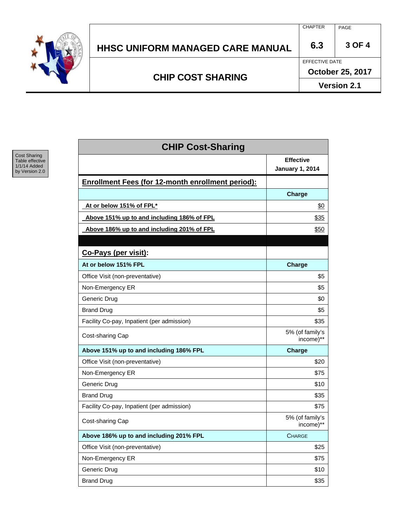

# **HHSC UNIFORM MANAGED CARE MANUAL 6.3 3 OF 4**

**CHIP COST SHARING** 

CHAPTER PAGE

EFFECTIVE DATE

**October 25, 2017** 

**Version 2.1** 



| <b>CHIP Cost-Sharing</b>     |  |  |  |  |
|------------------------------|--|--|--|--|
| <b>Effective</b>             |  |  |  |  |
| <b>January 1, 2014</b>       |  |  |  |  |
|                              |  |  |  |  |
| Charge                       |  |  |  |  |
| \$0                          |  |  |  |  |
| \$35                         |  |  |  |  |
| \$50                         |  |  |  |  |
|                              |  |  |  |  |
|                              |  |  |  |  |
| Charge                       |  |  |  |  |
| \$5                          |  |  |  |  |
| \$5                          |  |  |  |  |
| \$0                          |  |  |  |  |
| \$5                          |  |  |  |  |
| \$35                         |  |  |  |  |
| 5% (of family's<br>income)** |  |  |  |  |
| <b>Charge</b>                |  |  |  |  |
| \$20                         |  |  |  |  |
| \$75                         |  |  |  |  |
| \$10                         |  |  |  |  |
| \$35                         |  |  |  |  |
| \$75                         |  |  |  |  |
| 5% (of family's<br>income)** |  |  |  |  |
| <b>CHARGE</b>                |  |  |  |  |
| \$25                         |  |  |  |  |
| \$75                         |  |  |  |  |
| \$10                         |  |  |  |  |
| \$35                         |  |  |  |  |
|                              |  |  |  |  |